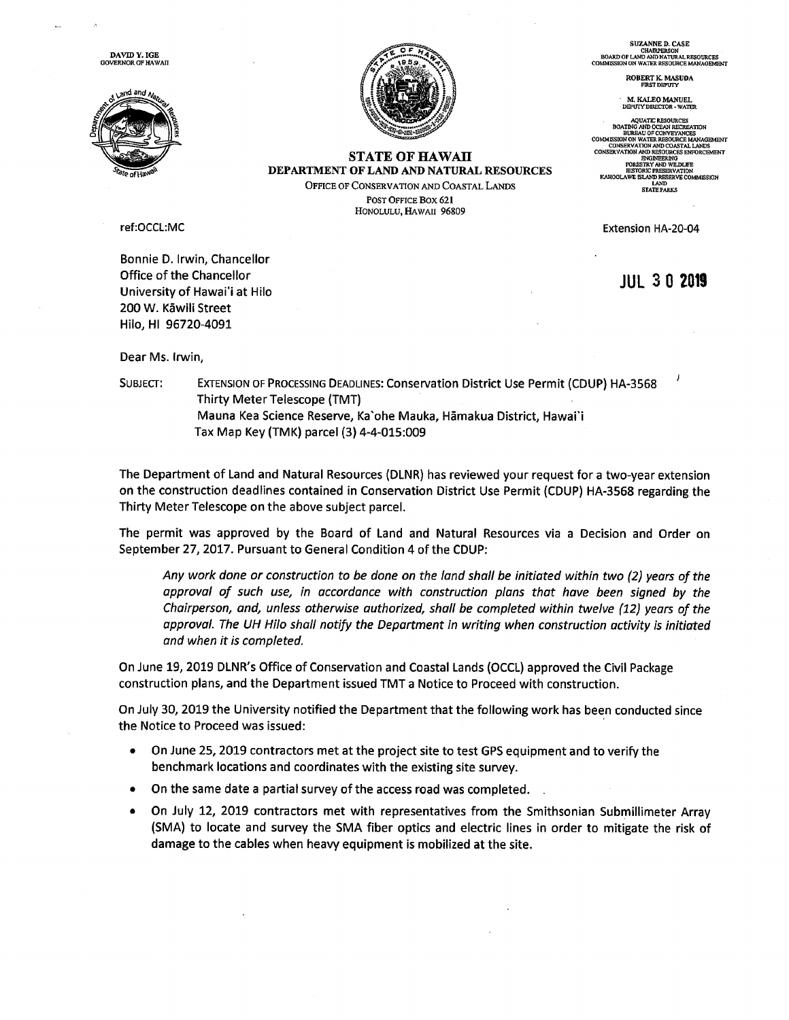DAVID Y. IGE GOVERNOR OF HAWAII





STATE OF HAWAII DEPARTMENT OF LAND AND NATURAL RESOURCES OFFICE OF CONSERVATION AND COASTAL LANDs POST OFFICE Box 621 HONOLULU, HAWAII 96809

ref:OCCL:MC

Bonnie D. Irwin, Chancellor Office of the Chancellor University of Hawai'i at Hilo 200 W. Kãwili Street Hilo, HI 96720-4091

Dear Ms. Irwin,

SUBJECT: EXTENSION OF PROCESSING DEADLINES: Conservation District Use Permit (CDUP) HA-3568 Thirty Meter Telescope (TMT) Mauna Kea Science Reserve, Ka'ohe Mauka, Hãmakua District, Hawaii Tax Map Key (TMK) parcel (3) 4-4-015:009

The Department of Land and Natural Resources (DLNR) has reviewed your request for <sup>a</sup> two-year extension on the construction deadlines contained in Conservation District Use Permit (CDUP) HA-3568 regarding the Thirty Meter Telescope on the above subject parcel.

The permit was approved by the Board of Land and Natural Resources via <sup>a</sup> Decision and Order on September 27, 2017. Pursuant to General Condition 4 of the CDUP:

Any work done or construction to be done on the land shall be initiated within two (2) years of the approval of such use, in accordance with construction plans that have been signed by the Chairperson, and, unless otherwise authorized, shall be completed within twelve (12) years of the approval. The UH Hilo shall notify the Department in writing when construction activity is initiated and when it is completed.

On June 19, 2019 DLNR's Office of Conservation and Coastal Lands (OCCL) approved the Civil Package construction plans, and the Department issued TMT <sup>a</sup> Notice to Proceed with construction.

On July 30, 2019 the University notified the Department that the following work has been conducted since the Notice to Proceed was issued:

- On June 25, 2019 contractors met at the project site to test GPS equipment and to verify the benchmark locations and coordinates with the existing site survey.
- On the same date <sup>a</sup> partial survey of the access road was completed.
- On July 12, 2019 contractors met with representatives from the Smithsonian Submillimeter Array (SMA) to locate and survey the SMA fiber optics and electric lines in order to mitigate the risk of damage to the cables when heavy equipment is mobilized at the site.

SUZANNE D. CASE<br>CHAIRPERSON<br>BOARD OF LAND AND NATURAL RESOURCES<br>COMMISSION ON WATER RESOURCE MANAGEMENT

ROBERT K. MASUDA FIRSTDEpUTy

M. KALEO MANUEL<br>DEPUIY DIRECTOR - WATER

AQUATIC RESOURCES<br>BOATING AND OCEAN RECREATION<br>BUREAU OF CONVEYANCES<br>COMMESON ON WATER RESOURCE MANAGEMENT<br>CONSERVATION AND COASTAL LANDS CONSERVATION AND RESOURCES ENFORCEMENT<br>FORESTRY AND WILDLIFE<br>HISTORIC PRESERVATION<br>HISTORIC PRESERVATION<br>KANOOLAWE ISLAND RESERVE COMMISSION<br>LAND<br>STATE PARKS<br>STATE PARKS

Extension HA-20-04

JUL30 <sup>2019</sup>